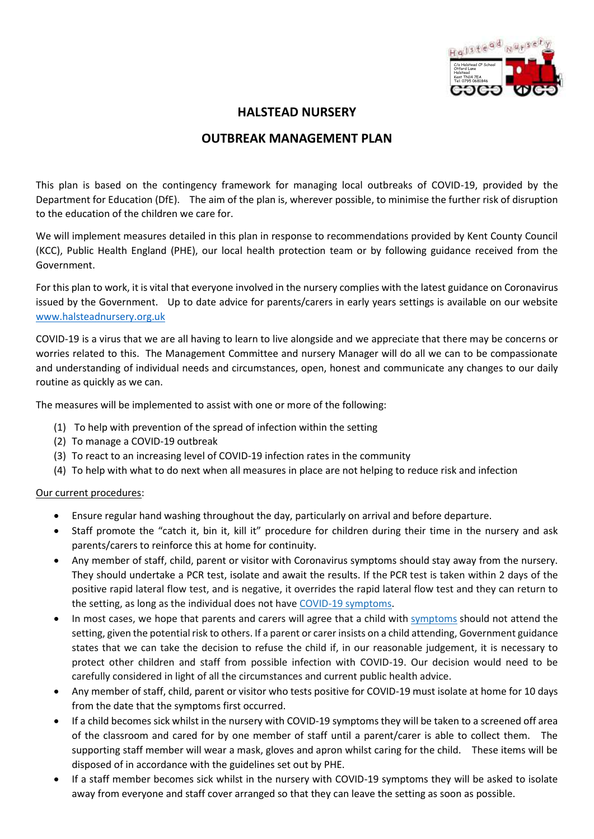

# **HALSTEAD NURSERY**

# **OUTBREAK MANAGEMENT PLAN**

This plan is based on the contingency framework for managing local outbreaks of COVID-19, provided by the Department for Education (DfE). The aim of the plan is, wherever possible, to minimise the further risk of disruption to the education of the children we care for.

We will implement measures detailed in this plan in response to recommendations provided by Kent County Council (KCC), Public Health England (PHE), our local health protection team or by following guidance received from the Government.

For this plan to work, it is vital that everyone involved in the nursery complies with the latest guidance on Coronavirus issued by the Government. Up to date advice for parents/carers in early years settings is available on our website [www.halsteadnursery.org.uk](http://www.halsteadnursery.org.uk/)

COVID-19 is a virus that we are all having to learn to live alongside and we appreciate that there may be concerns or worries related to this. The Management Committee and nursery Manager will do all we can to be compassionate and understanding of individual needs and circumstances, open, honest and communicate any changes to our daily routine as quickly as we can.

The measures will be implemented to assist with one or more of the following:

- (1) To help with prevention of the spread of infection within the setting
- (2) To manage a COVID-19 outbreak
- (3) To react to an increasing level of COVID-19 infection rates in the community
- (4) To help with what to do next when all measures in place are not helping to reduce risk and infection

### Our current procedures:

- Ensure regular hand washing throughout the day, particularly on arrival and before departure.
- Staff promote the "catch it, bin it, kill it" procedure for children during their time in the nursery and ask parents/carers to reinforce this at home for continuity.
- Any member of staff, child, parent or visitor with Coronavirus symptoms should stay away from the nursery. They should undertake a PCR test, isolate and await the results. If the PCR test is taken within 2 days of the positive rapid lateral flow test, and is negative, it overrides the rapid lateral flow test and they can return to the setting, as long as the individual does not have COVID-19 [symptoms.](https://www.nhs.uk/conditions/coronavirus-covid-19/symptoms/coronavirus-in-children/)
- In most cases, we hope that parents and carers will agree that a child with [symptoms](https://www.nhs.uk/conditions/coronavirus-covid-19/symptoms/coronavirus-in-children/) should not attend the setting, given the potential risk to others. If a parent or carer insists on a child attending, Government guidance states that we can take the decision to refuse the child if, in our reasonable judgement, it is necessary to protect other children and staff from possible infection with COVID-19. Our decision would need to be carefully considered in light of all the circumstances and current public health advice.
- Any member of staff, child, parent or visitor who tests positive for COVID-19 must isolate at home for 10 days from the date that the symptoms first occurred.
- If a child becomes sick whilst in the nursery with COVID-19 symptoms they will be taken to a screened off area of the classroom and cared for by one member of staff until a parent/carer is able to collect them. The supporting staff member will wear a mask, gloves and apron whilst caring for the child. These items will be disposed of in accordance with the guidelines set out by PHE.
- If a staff member becomes sick whilst in the nursery with COVID-19 symptoms they will be asked to isolate away from everyone and staff cover arranged so that they can leave the setting as soon as possible.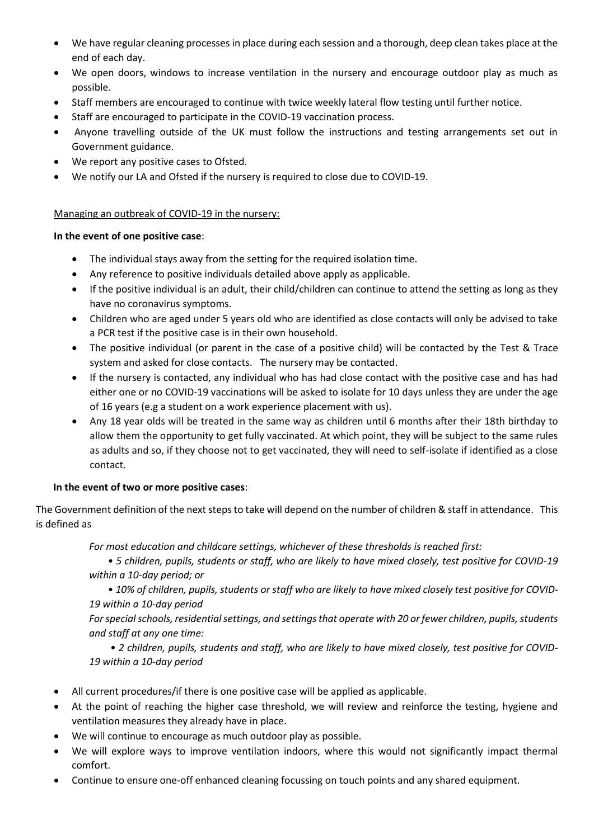- We have regular cleaning processes in place during each session and a thorough, deep clean takes place at the end of each day.
- We open doors, windows to increase ventilation in the nursery and encourage outdoor play as much as possible.
- Staff members are encouraged to continue with twice weekly lateral flow testing until further notice.
- Staff are encouraged to participate in the COVID-19 vaccination process.
- Anyone travelling outside of the UK must follow the instructions and testing arrangements set out in Government guidance.
- We report any positive cases to Ofsted.
- We notify our LA and Ofsted if the nursery is required to close due to COVID-19.

## Managing an outbreak of COVID-19 in the nursery:

## **In the event of one positive case**:

- The individual stays away from the setting for the required isolation time.
- Any reference to positive individuals detailed above apply as applicable.
- If the positive individual is an adult, their child/children can continue to attend the setting as long as they have no coronavirus symptoms.
- Children who are aged under 5 years old who are identified as close contacts will only be advised to take a PCR test if the positive case is in their own household.
- The positive individual (or parent in the case of a positive child) will be contacted by the Test & Trace system and asked for close contacts. The nursery may be contacted.
- If the nursery is contacted, any individual who has had close contact with the positive case and has had either one or no COVID-19 vaccinations will be asked to isolate for 10 days unless they are under the age of 16 years (e.g a student on a work experience placement with us).
- Any 18 year olds will be treated in the same way as children until 6 months after their 18th birthday to allow them the opportunity to get fully vaccinated. At which point, they will be subject to the same rules as adults and so, if they choose not to get vaccinated, they will need to self-isolate if identified as a close contact.

## **In the event of two or more positive cases**:

The Government definition of the next steps to take will depend on the number of children & staff in attendance. This is defined as

*For most education and childcare settings, whichever of these thresholds is reached first:* 

*• 5 children, pupils, students or staff, who are likely to have mixed closely, test positive for COVID-19 within a 10-day period; or* 

*• 10% of children, pupils, students or staff who are likely to have mixed closely test positive for COVID-19 within a 10-day period* 

*For special schools, residential settings, and settings that operate with 20 or fewer children, pupils, students and staff at any one time:*

*• 2 children, pupils, students and staff, who are likely to have mixed closely, test positive for COVID-19 within a 10-day period*

- All current procedures/if there is one positive case will be applied as applicable.
- At the point of reaching the higher case threshold, we will review and reinforce the testing, hygiene and ventilation measures they already have in place.
- We will continue to encourage as much outdoor play as possible.
- We will explore ways to improve ventilation indoors, where this would not significantly impact thermal comfort.
- Continue to ensure one-off enhanced cleaning focussing on touch points and any shared equipment.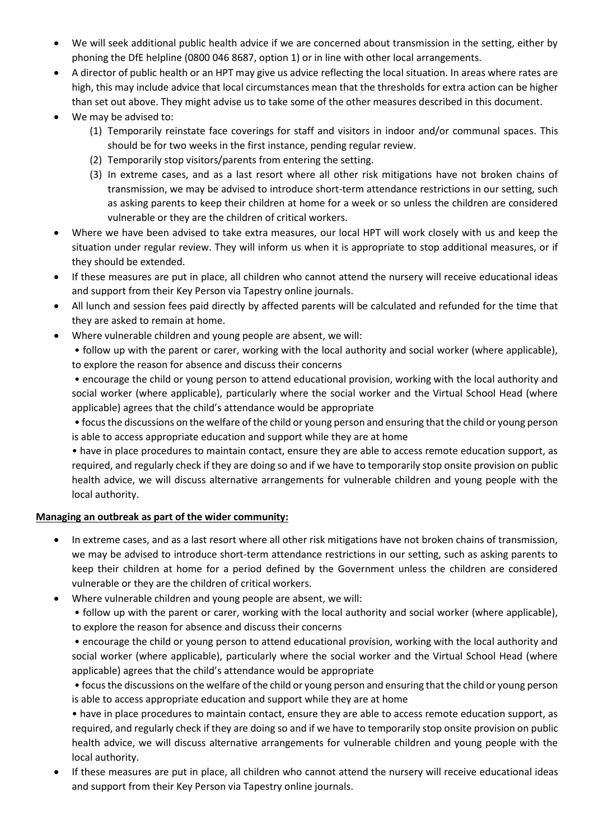- We will seek additional public health advice if we are concerned about transmission in the setting, either by phoning the DfE helpline (0800 046 8687, option 1) or in line with other local arrangements.
- A director of public health or an HPT may give us advice reflecting the local situation. In areas where rates are high, this may include advice that local circumstances mean that the thresholds for extra action can be higher than set out above. They might advise us to take some of the other measures described in this document.
- We may be advised to:
	- (1) Temporarily reinstate face coverings for staff and visitors in indoor and/or communal spaces. This should be for two weeks in the first instance, pending regular review.
	- (2) Temporarily stop visitors/parents from entering the setting.
	- (3) In extreme cases, and as a last resort where all other risk mitigations have not broken chains of transmission, we may be advised to introduce short-term attendance restrictions in our setting, such as asking parents to keep their children at home for a week or so unless the children are considered vulnerable or they are the children of critical workers.
- Where we have been advised to take extra measures, our local HPT will work closely with us and keep the situation under regular review. They will inform us when it is appropriate to stop additional measures, or if they should be extended.
- If these measures are put in place, all children who cannot attend the nursery will receive educational ideas and support from their Key Person via Tapestry online journals.
- All lunch and session fees paid directly by affected parents will be calculated and refunded for the time that they are asked to remain at home.
- Where vulnerable children and young people are absent, we will:
	- follow up with the parent or carer, working with the local authority and social worker (where applicable), to explore the reason for absence and discuss their concerns

• encourage the child or young person to attend educational provision, working with the local authority and social worker (where applicable), particularly where the social worker and the Virtual School Head (where applicable) agrees that the child's attendance would be appropriate

• focus the discussions on the welfare of the child or young person and ensuring that the child or young person is able to access appropriate education and support while they are at home

• have in place procedures to maintain contact, ensure they are able to access remote education support, as required, and regularly check if they are doing so and if we have to temporarily stop onsite provision on public health advice, we will discuss alternative arrangements for vulnerable children and young people with the local authority.

## **Managing an outbreak as part of the wider community:**

- In extreme cases, and as a last resort where all other risk mitigations have not broken chains of transmission, we may be advised to introduce short-term attendance restrictions in our setting, such as asking parents to keep their children at home for a period defined by the Government unless the children are considered vulnerable or they are the children of critical workers.
- Where vulnerable children and young people are absent, we will:

• follow up with the parent or carer, working with the local authority and social worker (where applicable), to explore the reason for absence and discuss their concerns

• encourage the child or young person to attend educational provision, working with the local authority and social worker (where applicable), particularly where the social worker and the Virtual School Head (where applicable) agrees that the child's attendance would be appropriate

• focus the discussions on the welfare of the child or young person and ensuring that the child or young person is able to access appropriate education and support while they are at home

• have in place procedures to maintain contact, ensure they are able to access remote education support, as required, and regularly check if they are doing so and if we have to temporarily stop onsite provision on public health advice, we will discuss alternative arrangements for vulnerable children and young people with the local authority.

• If these measures are put in place, all children who cannot attend the nursery will receive educational ideas and support from their Key Person via Tapestry online journals.